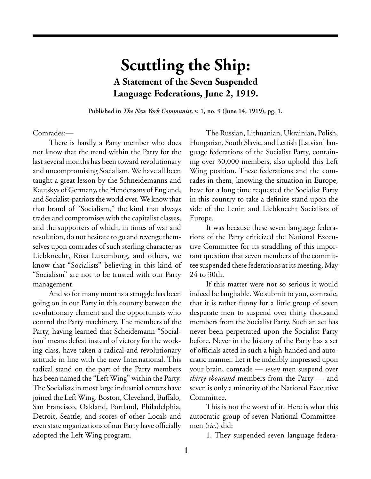## **Scuttling the Ship: A Statement of the Seven Suspended Language Federations, June 2, 1919.**

**Published in** *The New York Communist***, v. 1, no. 9 (June 14, 1919), pg. 1.**

Comrades:—

There is hardly a Party member who does not know that the trend within the Party for the last several months has been toward revolutionary and uncompromising Socialism. We have all been taught a great lesson by the Schneidemanns and Kautskys of Germany, the Hendersons of England, and Socialist-patriots the world over. We know that that brand of "Socialism," the kind that always trades and compromises with the capitalist classes, and the supporters of which, in times of war and revolution, do not hesitate to go and revenge themselves upon comrades of such sterling character as Liebknecht, Rosa Luxemburg, and others, we know that "Socialists" believing in this kind of "Socialism" are not to be trusted with our Party management.

And so for many months a struggle has been going on in our Party in this country between the revolutionary element and the opportunists who control the Party machinery. The members of the Party, having learned that Scheidemann "Socialism" means defeat instead of victory for the working class, have taken a radical and revolutionary attitude in line with the new International. This radical stand on the part of the Party members has been named the "Left Wing" within the Party. The Socialists in most large industrial centers have joined the Left Wing. Boston, Cleveland, Buffalo, San Francisco, Oakland, Portland, Philadelphia, Detroit, Seattle, and scores of other Locals and even state organizations of our Party have officially adopted the Left Wing program.

The Russian, Lithuanian, Ukrainian, Polish, Hungarian, South Slavic, and Lettish [Latvian] language federations of the Socialist Party, containing over 30,000 members, also uphold this Left Wing position. These federations and the comrades in them, knowing the situation in Europe, have for a long time requested the Socialist Party in this country to take a definite stand upon the side of the Lenin and Liebknecht Socialists of Europe.

It was because these seven language federations of the Party criticized the National Executive Committee for its straddling of this important question that seven members of the committee suspended these federations at its meeting, May 24 to 30th.

If this matter were not so serious it would indeed be laughable. We submit to you, comrade, that it is rather funny for a little group of seven desperate men to suspend over thirty thousand members from the Socialist Party. Such an act has never been perpetrated upon the Socialist Party before. Never in the history of the Party has a set of officials acted in such a high-handed and autocratic manner. Let it be indelibly impressed upon your brain, comrade — *seven* men suspend over *thirty thousand* members from the Party — and seven is only a minority of the National Executive Committee.

This is not the worst of it. Here is what this autocratic group of seven National Committeemen (*sic.*) did:

1. They suspended seven language federa-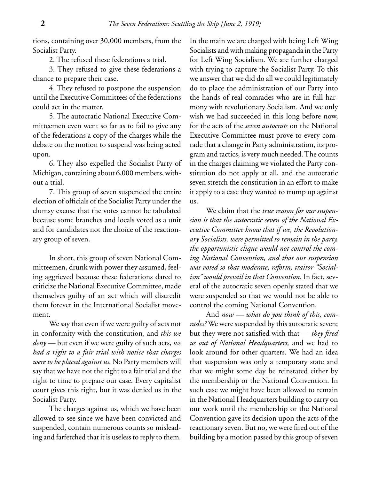tions, containing over 30,000 members, from the Socialist Party.

2. The refused these federations a trial.

3. They refused to give these federations a chance to prepare their case.

4. They refused to postpone the suspension until the Executive Committees of the federations could act in the matter.

5. The autocratic National Executive Committeemen even went so far as to fail to give any of the federations a copy of the charges while the debate on the motion to suspend was being acted upon.

6. They also expelled the Socialist Party of Michigan, containing about 6,000 members, without a trial.

7. This group of seven suspended the entire election of officials of the Socialist Party under the clumsy excuse that the votes cannot be tabulated because some branches and locals voted as a unit and for candidates not the choice of the reactionary group of seven.

In short, this group of seven National Committeemen, drunk with power they assumed, feeling aggrieved because these federations dared to criticize the National Executive Committee, made themselves guilty of an act which will discredit them forever in the International Socialist movement.

We say that even if we were guilty of acts not in conformity with the constitution, and *this we deny* — but even if we were guilty of such acts, *we had a right to a fair trial with notice that charges were to be placed against us.* No Party members will say that we have not the right to a fair trial and the right to time to prepare our case. Every capitalist court gives this right, but it was denied us in the Socialist Party.

The charges against us, which we have been allowed to see since we have been convicted and suspended, contain numerous counts so misleading and farfetched that it is useless to reply to them.

In the main we are charged with being Left Wing Socialists and with making propaganda in the Party for Left Wing Socialism. We are further charged with trying to capture the Socialist Party. To this we answer that we did do all we could legitimately do to place the administration of our Party into the hands of real comrades who are in full harmony with revolutionary Socialism. And we only wish we had succeeded in this long before now, for the acts of the *seven autocrats* on the National Executive Committee must prove to every comrade that a change in Party administration, its program and tactics, is very much needed. The counts in the charges claiming we violated the Party constitution do not apply at all, and the autocratic seven stretch the constitution in an effort to make it apply to a case they wanted to trump up against us.

We claim that the *true reason for our suspension is that the autocratic seven of the National Executive Committee know that if we, the Revolutionary Socialists, were permitted to remain in the party, the opportunistic clique would not control the coming National Convention, and that our suspension was voted so that moderate, reform, traitor "Socialism" would prevail in that Convention.* In fact, several of the autocratic seven openly stated that we were suspended so that we would not be able to control the coming National Convention.

And *now — what do you think of this, comrades?* We were suspended by this autocratic seven; but they were not satisfied with that — *they fired us out of National Headquarters,* and we had to look around for other quarters. We had an idea that suspension was only a temporary state and that we might some day be reinstated either by the membership or the National Convention. In such case we might have been allowed to remain in the National Headquarters building to carry on our work until the membership or the National Convention gave its decision upon the acts of the reactionary seven. But no, we were fired out of the building by a motion passed by this group of seven